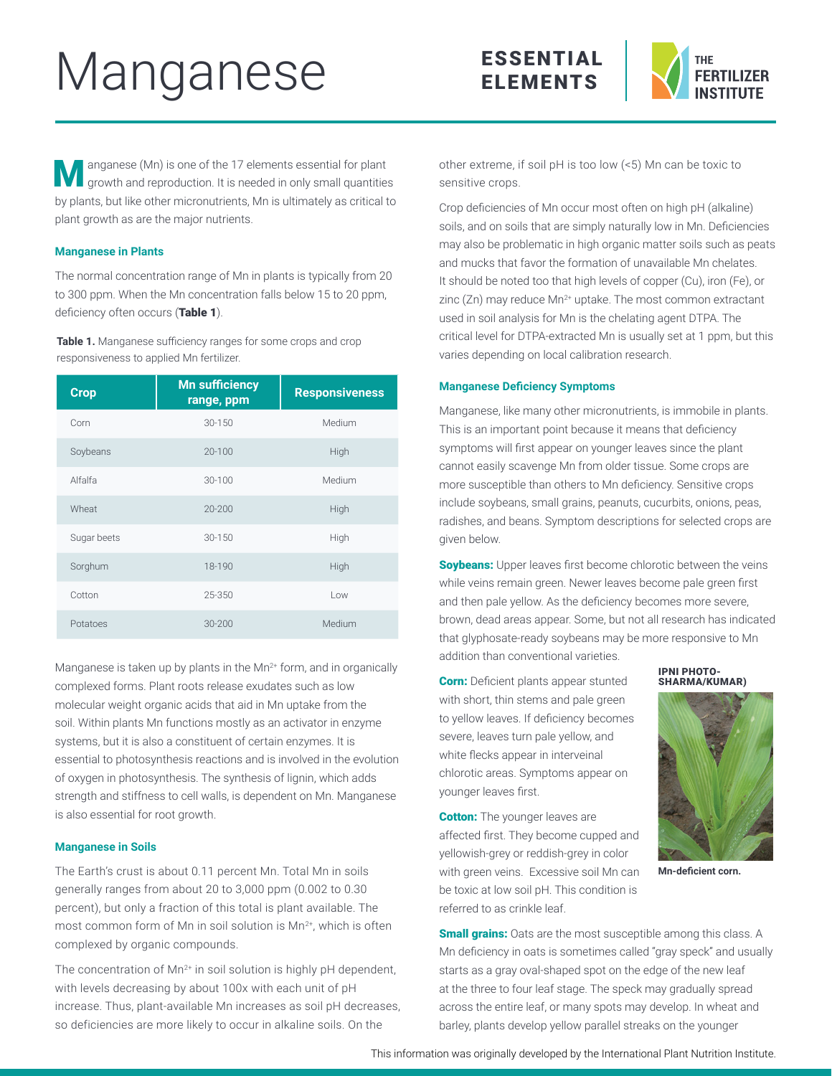# Manganese





**M** anganese (Mn) is one of the 17 elements essential for plant growth and reproduction. It is needed in only small quantities by plants, but like other micronutrients, Mn is ultimately as critical to plant growth as are the major nutrients.

# **Manganese in Plants**

The normal concentration range of Mn in plants is typically from 20 to 300 ppm. When the Mn concentration falls below 15 to 20 ppm, deficiency often occurs (Table 1).

**Table 1.** Manganese sufficiency ranges for some crops and crop responsiveness to applied Mn fertilizer.

| <b>Crop</b> | <b>Mn sufficiency</b><br>range, ppm | <b>Responsiveness</b> |
|-------------|-------------------------------------|-----------------------|
| Corn        | 30-150                              | Medium                |
| Soybeans    | 20-100                              | High                  |
| Alfalfa     | 30-100                              | Medium                |
| Wheat       | 20-200                              | High                  |
| Sugar beets | $30 - 150$                          | High                  |
| Sorghum     | 18-190                              | High                  |
| Cotton      | 25-350                              | Low                   |
| Potatoes    | 30-200                              | Medium                |

Manganese is taken up by plants in the  $Mn^{2+}$  form, and in organically complexed forms. Plant roots release exudates such as low molecular weight organic acids that aid in Mn uptake from the soil. Within plants Mn functions mostly as an activator in enzyme systems, but it is also a constituent of certain enzymes. It is essential to photosynthesis reactions and is involved in the evolution of oxygen in photosynthesis. The synthesis of lignin, which adds strength and stiffness to cell walls, is dependent on Mn. Manganese is also essential for root growth.

# **Manganese in Soils**

The Earth's crust is about 0.11 percent Mn. Total Mn in soils generally ranges from about 20 to 3,000 ppm (0.002 to 0.30 percent), but only a fraction of this total is plant available. The most common form of Mn in soil solution is Mn<sup>2+</sup>, which is often complexed by organic compounds.

The concentration of  $Mn^{2+}$  in soil solution is highly pH dependent, with levels decreasing by about 100x with each unit of pH increase. Thus, plant-available Mn increases as soil pH decreases, so deficiencies are more likely to occur in alkaline soils. On the

other extreme, if soil pH is too low (<5) Mn can be toxic to sensitive crops.

Crop deficiencies of Mn occur most often on high pH (alkaline) soils, and on soils that are simply naturally low in Mn. Deficiencies may also be problematic in high organic matter soils such as peats and mucks that favor the formation of unavailable Mn chelates. It should be noted too that high levels of copper (Cu), iron (Fe), or zinc (Zn) may reduce Mn<sup>2+</sup> uptake. The most common extractant used in soil analysis for Mn is the chelating agent DTPA. The critical level for DTPA-extracted Mn is usually set at 1 ppm, but this varies depending on local calibration research.

### **Manganese Deficiency Symptoms**

Manganese, like many other micronutrients, is immobile in plants. This is an important point because it means that deficiency symptoms will first appear on younger leaves since the plant cannot easily scavenge Mn from older tissue. Some crops are more susceptible than others to Mn deficiency. Sensitive crops include soybeans, small grains, peanuts, cucurbits, onions, peas, radishes, and beans. Symptom descriptions for selected crops are given below.

**Soybeans:** Upper leaves first become chlorotic between the veins while veins remain green. Newer leaves become pale green first and then pale yellow. As the deficiency becomes more severe, brown, dead areas appear. Some, but not all research has indicated that glyphosate-ready soybeans may be more responsive to Mn addition than conventional varieties.

**Corn:** Deficient plants appear stunted with short, thin stems and pale green to yellow leaves. If deficiency becomes severe, leaves turn pale yellow, and white flecks appear in interveinal chlorotic areas. Symptoms appear on younger leaves first.

**Cotton:** The younger leaves are affected first. They become cupped and yellowish-grey or reddish-grey in color with green veins. Excessive soil Mn can be toxic at low soil pH. This condition is referred to as crinkle leaf.





**Mn-deficient corn.**

**Small grains:** Oats are the most susceptible among this class. A Mn deficiency in oats is sometimes called "gray speck" and usually starts as a gray oval-shaped spot on the edge of the new leaf at the three to four leaf stage. The speck may gradually spread across the entire leaf, or many spots may develop. In wheat and barley, plants develop yellow parallel streaks on the younger

This information was originally developed by the International Plant Nutrition Institute.